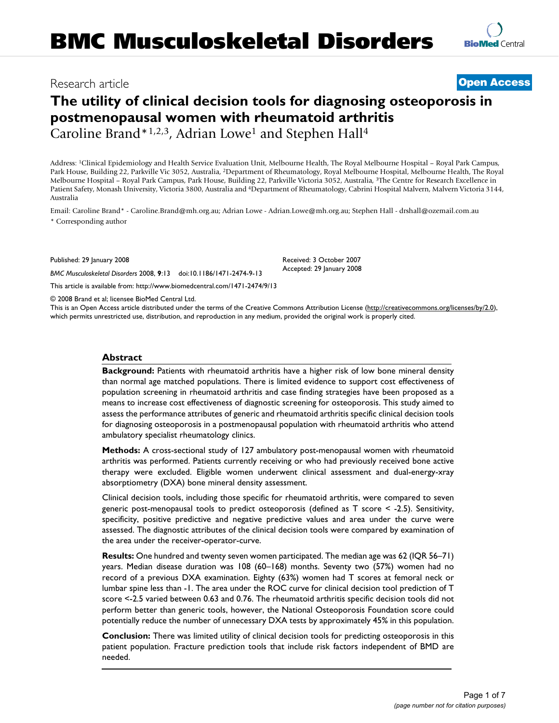## Research article **[Open Access](http://www.biomedcentral.com/info/about/charter/)**

# **The utility of clinical decision tools for diagnosing osteoporosis in postmenopausal women with rheumatoid arthritis**

Caroline Brand\*<sup>1,2,3</sup>, Adrian Lowe<sup>1</sup> and Stephen Hall<sup>4</sup>

Address: 1Clinical Epidemiology and Health Service Evaluation Unit, Melbourne Health, The Royal Melbourne Hospital – Royal Park Campus, Park House, Building 22, Parkville Vic 3052, Australia, 2Department of Rheumatology, Royal Melbourne Hospital, Melbourne Health, The Royal Melbourne Hospital – Royal Park Campus, Park House, Building 22, Parkville Victoria 3052, Australia, 3The Centre for Research Excellence in Patient Safety, Monash University, Victoria 3800, Australia and 4Department of Rheumatology, Cabrini Hospital Malvern, Malvern Victoria 3144, Australia

Email: Caroline Brand\* - Caroline.Brand@mh.org.au; Adrian Lowe - Adrian.Lowe@mh.org.au; Stephen Hall - drshall@ozemail.com.au \* Corresponding author

Published: 29 January 2008

*BMC Musculoskeletal Disorders* 2008, **9**:13 doi:10.1186/1471-2474-9-13

[This article is available from: http://www.biomedcentral.com/1471-2474/9/13](http://www.biomedcentral.com/1471-2474/9/13)

© 2008 Brand et al; licensee BioMed Central Ltd.

This is an Open Access article distributed under the terms of the Creative Commons Attribution License [\(http://creativecommons.org/licenses/by/2.0\)](http://creativecommons.org/licenses/by/2.0), which permits unrestricted use, distribution, and reproduction in any medium, provided the original work is properly cited.

## **Abstract**

**Background:** Patients with rheumatoid arthritis have a higher risk of low bone mineral density than normal age matched populations. There is limited evidence to support cost effectiveness of population screening in rheumatoid arthritis and case finding strategies have been proposed as a means to increase cost effectiveness of diagnostic screening for osteoporosis. This study aimed to assess the performance attributes of generic and rheumatoid arthritis specific clinical decision tools for diagnosing osteoporosis in a postmenopausal population with rheumatoid arthritis who attend ambulatory specialist rheumatology clinics.

**Methods:** A cross-sectional study of 127 ambulatory post-menopausal women with rheumatoid arthritis was performed. Patients currently receiving or who had previously received bone active therapy were excluded. Eligible women underwent clinical assessment and dual-energy-xray absorptiometry (DXA) bone mineral density assessment.

Clinical decision tools, including those specific for rheumatoid arthritis, were compared to seven generic post-menopausal tools to predict osteoporosis (defined as T score < -2.5). Sensitivity, specificity, positive predictive and negative predictive values and area under the curve were assessed. The diagnostic attributes of the clinical decision tools were compared by examination of the area under the receiver-operator-curve.

**Results:** One hundred and twenty seven women participated. The median age was 62 (IQR 56–71) years. Median disease duration was 108 (60–168) months. Seventy two (57%) women had no record of a previous DXA examination. Eighty (63%) women had T scores at femoral neck or lumbar spine less than -1. The area under the ROC curve for clinical decision tool prediction of T score <-2.5 varied between 0.63 and 0.76. The rheumatoid arthritis specific decision tools did not perform better than generic tools, however, the National Osteoporosis Foundation score could potentially reduce the number of unnecessary DXA tests by approximately 45% in this population.

**Conclusion:** There was limited utility of clinical decision tools for predicting osteoporosis in this patient population. Fracture prediction tools that include risk factors independent of BMD are needed.

Received: 3 October 2007 Accepted: 29 January 2008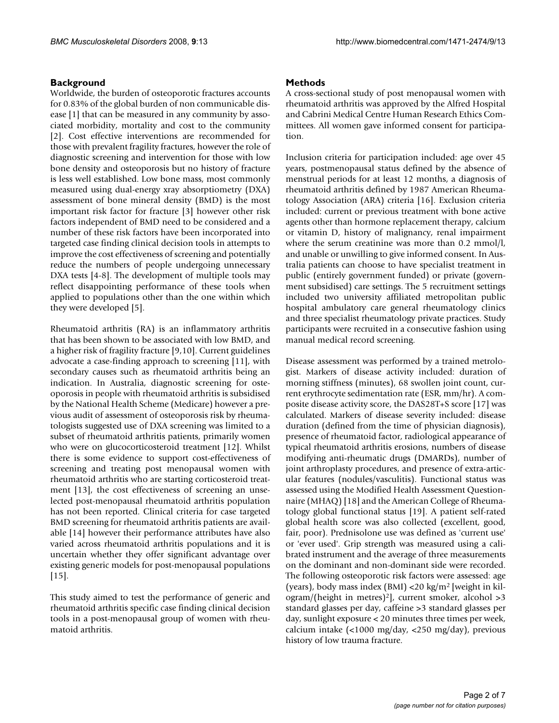## **Background**

Worldwide, the burden of osteoporotic fractures accounts for 0.83% of the global burden of non communicable disease [1] that can be measured in any community by associated morbidity, mortality and cost to the community [2]. Cost effective interventions are recommended for those with prevalent fragility fractures, however the role of diagnostic screening and intervention for those with low bone density and osteoporosis but no history of fracture is less well established. Low bone mass, most commonly measured using dual-energy xray absorptiometry (DXA) assessment of bone mineral density (BMD) is the most important risk factor for fracture [3] however other risk factors independent of BMD need to be considered and a number of these risk factors have been incorporated into targeted case finding clinical decision tools in attempts to improve the cost effectiveness of screening and potentially reduce the numbers of people undergoing unnecessary DXA tests [4-8]. The development of multiple tools may reflect disappointing performance of these tools when applied to populations other than the one within which they were developed [5].

Rheumatoid arthritis (RA) is an inflammatory arthritis that has been shown to be associated with low BMD, and a higher risk of fragility fracture [9,10]. Current guidelines advocate a case-finding approach to screening [11], with secondary causes such as rheumatoid arthritis being an indication. In Australia, diagnostic screening for osteoporosis in people with rheumatoid arthritis is subsidised by the National Health Scheme (Medicare) however a previous audit of assessment of osteoporosis risk by rheumatologists suggested use of DXA screening was limited to a subset of rheumatoid arthritis patients, primarily women who were on glucocorticosteroid treatment [12]. Whilst there is some evidence to support cost-effectiveness of screening and treating post menopausal women with rheumatoid arthritis who are starting corticosteroid treatment [13], the cost effectiveness of screening an unselected post-menopausal rheumatoid arthritis population has not been reported. Clinical criteria for case targeted BMD screening for rheumatoid arthritis patients are available [14] however their performance attributes have also varied across rheumatoid arthritis populations and it is uncertain whether they offer significant advantage over existing generic models for post-menopausal populations [15].

This study aimed to test the performance of generic and rheumatoid arthritis specific case finding clinical decision tools in a post-menopausal group of women with rheumatoid arthritis.

## **Methods**

A cross-sectional study of post menopausal women with rheumatoid arthritis was approved by the Alfred Hospital and Cabrini Medical Centre Human Research Ethics Committees. All women gave informed consent for participation.

Inclusion criteria for participation included: age over 45 years, postmenopausal status defined by the absence of menstrual periods for at least 12 months, a diagnosis of rheumatoid arthritis defined by 1987 American Rheumatology Association (ARA) criteria [16]. Exclusion criteria included: current or previous treatment with bone active agents other than hormone replacement therapy, calcium or vitamin D, history of malignancy, renal impairment where the serum creatinine was more than 0.2 mmol/l, and unable or unwilling to give informed consent. In Australia patients can choose to have specialist treatment in public (entirely government funded) or private (government subsidised) care settings. The 5 recruitment settings included two university affiliated metropolitan public hospital ambulatory care general rheumatology clinics and three specialist rheumatology private practices. Study participants were recruited in a consecutive fashion using manual medical record screening.

Disease assessment was performed by a trained metrologist. Markers of disease activity included: duration of morning stiffness (minutes), 68 swollen joint count, current erythrocyte sedimentation rate (ESR, mm/hr). A composite disease activity score, the DAS28T+S score [17] was calculated. Markers of disease severity included: disease duration (defined from the time of physician diagnosis), presence of rheumatoid factor, radiological appearance of typical rheumatoid arthritis erosions, numbers of disease modifying anti-rheumatic drugs (DMARDs), number of joint arthroplasty procedures, and presence of extra-articular features (nodules/vasculitis). Functional status was assessed using the Modified Health Assessment Questionnaire (MHAQ) [18] and the American College of Rheumatology global functional status [19]. A patient self-rated global health score was also collected (excellent, good, fair, poor). Prednisolone use was defined as 'current use' or 'ever used'. Grip strength was measured using a calibrated instrument and the average of three measurements on the dominant and non-dominant side were recorded. The following osteoporotic risk factors were assessed: age (years), body mass index (BMI) <20 kg/m<sup>2</sup> [weight in kilogram/(height in metres)2], current smoker, alcohol >3 standard glasses per day, caffeine >3 standard glasses per day, sunlight exposure < 20 minutes three times per week, calcium intake (<1000 mg/day, <250 mg/day), previous history of low trauma fracture.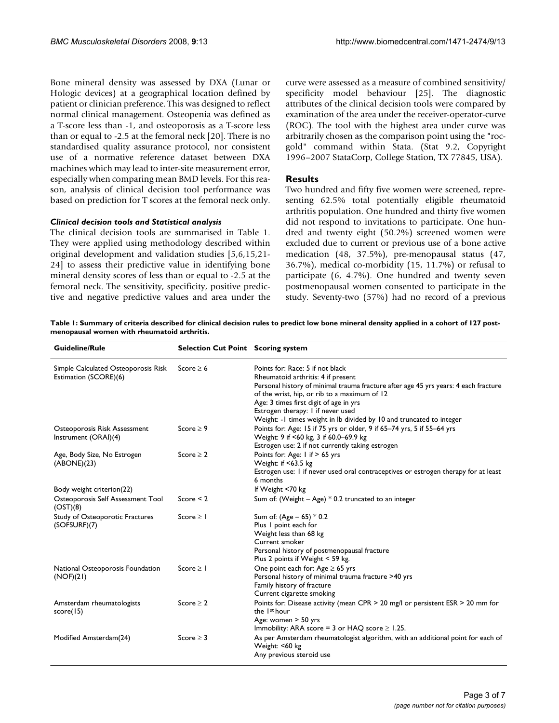Bone mineral density was assessed by DXA (Lunar or Hologic devices) at a geographical location defined by patient or clinician preference. This was designed to reflect normal clinical management. Osteopenia was defined as a T-score less than -1, and osteoporosis as a T-score less than or equal to -2.5 at the femoral neck [20]. There is no standardised quality assurance protocol, nor consistent use of a normative reference dataset between DXA machines which may lead to inter-site measurement error, especially when comparing mean BMD levels. For this reason, analysis of clinical decision tool performance was based on prediction for T scores at the femoral neck only.

## *Clinical decision tools and Statistical analysis*

The clinical decision tools are summarised in Table 1. They were applied using methodology described within original development and validation studies [5,6,15,21- 24] to assess their predictive value in identifying bone mineral density scores of less than or equal to -2.5 at the femoral neck. The sensitivity, specificity, positive predictive and negative predictive values and area under the curve were assessed as a measure of combined sensitivity/ specificity model behaviour [25]. The diagnostic attributes of the clinical decision tools were compared by examination of the area under the receiver-operator-curve (ROC). The tool with the highest area under curve was arbitrarily chosen as the comparison point using the "rocgold" command within Stata. (Stat 9.2, Copyright 1996–2007 StataCorp, College Station, TX 77845, USA).

## **Results**

Two hundred and fifty five women were screened, representing 62.5% total potentially eligible rheumatoid arthritis population. One hundred and thirty five women did not respond to invitations to participate. One hundred and twenty eight (50.2%) screened women were excluded due to current or previous use of a bone active medication (48, 37.5%), pre-menopausal status (47, 36.7%), medical co-morbidity (15, 11.7%) or refusal to participate (6, 4.7%). One hundred and twenty seven postmenopausal women consented to participate in the study. Seventy-two (57%) had no record of a previous

**Table 1: Summary of criteria described for clinical decision rules to predict low bone mineral density applied in a cohort of 127 postmenopausal women with rheumatoid arthritis.**

| <b>Guideline/Rule</b>                                        | <b>Selection Cut Point Scoring system</b> |                                                                                                                                                                                                                                                                                                                                                                       |
|--------------------------------------------------------------|-------------------------------------------|-----------------------------------------------------------------------------------------------------------------------------------------------------------------------------------------------------------------------------------------------------------------------------------------------------------------------------------------------------------------------|
| Simple Calculated Osteoporosis Risk<br>Estimation (SCORE)(6) | Score $\geq 6$                            | Points for: Race: 5 if not black<br>Rheumatoid arthritis: 4 if present<br>Personal history of minimal trauma fracture after age 45 yrs years: 4 each fracture<br>of the wrist, hip, or rib to a maximum of 12<br>Age: 3 times first digit of age in yrs<br>Estrogen therapy: I if never used<br>Weight: - I times weight in Ib divided by 10 and truncated to integer |
| Osteoporosis Risk Assessment<br>Instrument (ORAI)(4)         | Score $\geq 9$                            | Points for: Age: 15 if 75 yrs or older, 9 if 65-74 yrs, 5 if 55-64 yrs<br>Weight: 9 if <60 kg, 3 if 60.0-69.9 kg<br>Estrogen use: 2 if not currently taking estrogen                                                                                                                                                                                                  |
| Age, Body Size, No Estrogen<br>(ABONE)(23)                   | Score $\geq 2$                            | Points for: Age: 1 if > 65 yrs<br>Weight: if <63.5 kg<br>Estrogen use: I if never used oral contraceptives or estrogen therapy for at least<br>6 months                                                                                                                                                                                                               |
| Body weight criterion(22)                                    |                                           | If Weight <70 kg                                                                                                                                                                                                                                                                                                                                                      |
| Osteoporosis Self Assessment Tool<br>(OST)(8)                | Score $<$ 2                               | Sum of: (Weight $-$ Age) $*$ 0.2 truncated to an integer                                                                                                                                                                                                                                                                                                              |
| Study of Osteoporotic Fractures<br>(SOFSURF)(7)              | Score $\geq 1$                            | Sum of: $(Age - 65) * 0.2$<br>Plus I point each for<br>Weight less than 68 kg<br>Current smoker<br>Personal history of postmenopausal fracture<br>Plus 2 points if Weight $<$ 59 kg.                                                                                                                                                                                  |
| National Osteoporosis Foundation<br>(NOF)(21)                | Score $\geq$ 1                            | One point each for: $Age \ge 65$ yrs<br>Personal history of minimal trauma fracture >40 yrs<br>Family history of fracture<br>Current cigarette smoking                                                                                                                                                                                                                |
| Amsterdam rheumatologists<br>score(15)                       | Score $\geq 2$                            | Points for: Disease activity (mean CPR $>$ 20 mg/l or persistent ESR $>$ 20 mm for<br>the 1 <sup>st</sup> hour<br>Age: women > 50 yrs<br>Immobility: ARA score = 3 or HAQ score $\geq$ 1.25.                                                                                                                                                                          |
| Modified Amsterdam(24)                                       | Score $\geq$ 3                            | As per Amsterdam rheumatologist algorithm, with an additional point for each of<br>Weight: <60 kg<br>Any previous steroid use                                                                                                                                                                                                                                         |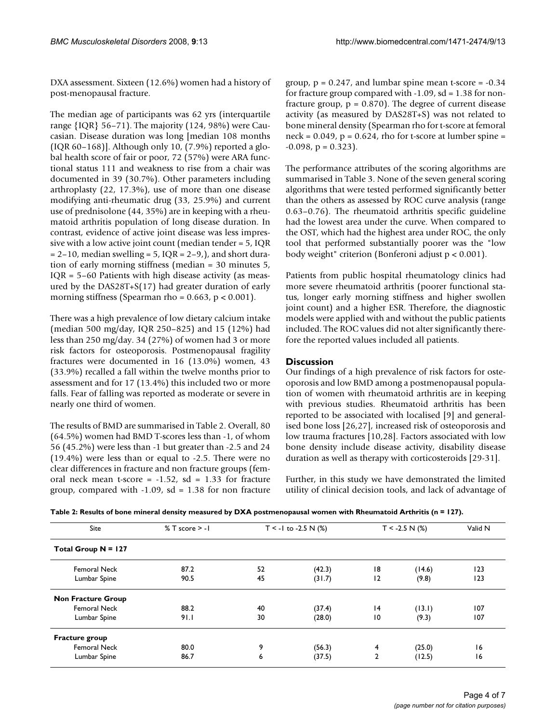DXA assessment. Sixteen (12.6%) women had a history of post-menopausal fracture.

The median age of participants was 62 yrs (interquartile range {IQR} 56–71). The majority (124, 98%) were Caucasian. Disease duration was long [median 108 months (IQR 60–168)]. Although only 10, (7.9%) reported a global health score of fair or poor, 72 (57%) were ARA functional status 111 and weakness to rise from a chair was documented in 39 (30.7%). Other parameters including arthroplasty (22, 17.3%), use of more than one disease modifying anti-rheumatic drug (33, 25.9%) and current use of prednisolone (44, 35%) are in keeping with a rheumatoid arthritis population of long disease duration. In contrast, evidence of active joint disease was less impressive with a low active joint count (median tender = 5, IQR  $= 2-10$ , median swelling  $= 5$ , IQR  $= 2-9$ , and short duration of early morning stiffness (median = 30 minutes 5,  $IQR = 5-60$  Patients with high disease activity (as measured by the DAS28T+S(17) had greater duration of early morning stiffness (Spearman rho =  $0.663$ , p <  $0.001$ ).

There was a high prevalence of low dietary calcium intake (median 500 mg/day, IQR 250–825) and 15 (12%) had less than 250 mg/day. 34 (27%) of women had 3 or more risk factors for osteoporosis. Postmenopausal fragility fractures were documented in 16 (13.0%) women, 43 (33.9%) recalled a fall within the twelve months prior to assessment and for 17 (13.4%) this included two or more falls. Fear of falling was reported as moderate or severe in nearly one third of women.

The results of BMD are summarised in Table 2. Overall, 80 (64.5%) women had BMD T-scores less than -1, of whom 56 (45.2%) were less than -1 but greater than -2.5 and 24 (19.4%) were less than or equal to -2.5. There were no clear differences in fracture and non fracture groups (femoral neck mean t-score =  $-1.52$ , sd = 1.33 for fracture group, compared with -1.09, sd = 1.38 for non fracture group,  $p = 0.247$ , and lumbar spine mean t-score =  $-0.34$ for fracture group compared with  $-1.09$ , sd = 1.38 for nonfracture group,  $p = 0.870$ . The degree of current disease activity (as measured by DAS28T+S) was not related to bone mineral density (Spearman rho for t-score at femoral neck =  $0.049$ ,  $p = 0.624$ , rho for t-score at lumber spine =  $-0.098$ ,  $p = 0.323$ ).

The performance attributes of the scoring algorithms are summarised in Table 3. None of the seven general scoring algorithms that were tested performed significantly better than the others as assessed by ROC curve analysis (range 0.63–0.76). The rheumatoid arthritis specific guideline had the lowest area under the curve. When compared to the OST, which had the highest area under ROC, the only tool that performed substantially poorer was the "low body weight" criterion (Bonferoni adjust p < 0.001).

Patients from public hospital rheumatology clinics had more severe rheumatoid arthritis (poorer functional status, longer early morning stiffness and higher swollen joint count) and a higher ESR. Therefore, the diagnostic models were applied with and without the public patients included. The ROC values did not alter significantly therefore the reported values included all patients.

## **Discussion**

Our findings of a high prevalence of risk factors for osteoporosis and low BMD among a postmenopausal population of women with rheumatoid arthritis are in keeping with previous studies. Rheumatoid arthritis has been reported to be associated with localised [9] and generalised bone loss [26,27], increased risk of osteoporosis and low trauma fractures [10,28]. Factors associated with low bone density include disease activity, disability disease duration as well as therapy with corticosteroids [29-31].

Further, in this study we have demonstrated the limited utility of clinical decision tools, and lack of advantage of

| Table 2: Results of bone mineral density measured by DXA postmenopausal women with Rheumatoid Arthritis (n = 127). |  |  |
|--------------------------------------------------------------------------------------------------------------------|--|--|
|                                                                                                                    |  |  |

| Site                      | $%$ T score $>$ -1 |    | T < -1 to -2.5 N $(\%)$ |                 | $T < -2.5 N$ (%) | Valid N |
|---------------------------|--------------------|----|-------------------------|-----------------|------------------|---------|
| Total Group $N = 127$     |                    |    |                         |                 |                  |         |
| Femoral Neck              | 87.2               | 52 | (42.3)                  | 18              | (14.6)           | 123     |
| Lumbar Spine              | 90.5               | 45 | (31.7)                  | 12              | (9.8)            | 123     |
| <b>Non Fracture Group</b> |                    |    |                         |                 |                  |         |
| Femoral Neck              | 88.2               | 40 | (37.4)                  | 4               | (13.1)           | 107     |
| Lumbar Spine              | 91.1               | 30 | (28.0)                  | $\overline{10}$ | (9.3)            | 107     |
| <b>Fracture group</b>     |                    |    |                         |                 |                  |         |
| Femoral Neck              | 80.0               | 9  | (56.3)                  | $\overline{4}$  | (25.0)           | 16      |
| Lumbar Spine              | 86.7               | 6  | (37.5)                  | $\mathbf{2}$    | (12.5)           | 16      |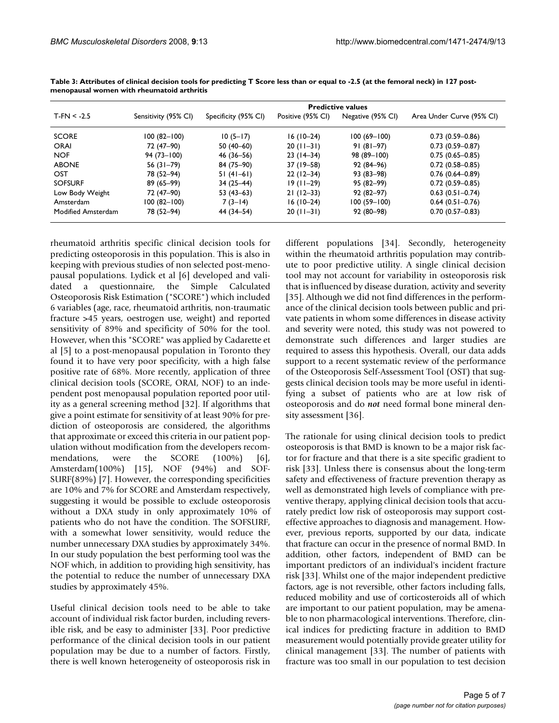|                    |                      | <b>Predictive values</b> |                   |                   |                           |  |
|--------------------|----------------------|--------------------------|-------------------|-------------------|---------------------------|--|
| $T-FN < -2.5$      | Sensitivity (95% CI) | Specificity (95% CI)     | Positive (95% CI) | Negative (95% CI) | Area Under Curve (95% CI) |  |
| <b>SCORE</b>       | 100 (82-100)         | $10(5-17)$               | $16(10-24)$       | $100(69 - 100)$   | $0.73(0.59 - 0.86)$       |  |
| ORAI               | 72 (47-90)           | 50 $(40-60)$             | $20$ (11-31)      | $91(81-97)$       | $0.73(0.59 - 0.87)$       |  |
| <b>NOF</b>         | $94(73 - 100)$       | $46(36 - 56)$            | $23(14-34)$       | 98 (89-100)       | $0.75(0.65 - 0.85)$       |  |
| <b>ABONE</b>       | $56(31-79)$          | 84 (75-90)               | $37(19 - 58)$     | $92(84 - 96)$     | $0.72(0.58 - 0.85)$       |  |
| OST                | 78 (52-94)           | $51(41-61)$              | $22(12-34)$       | 93 (83-98)        | $0.76(0.64 - 0.89)$       |  |
| <b>SOFSURF</b>     | 89 (65-99)           | $34(25-44)$              | $19(11-29)$       | 95 (82-99)        | $0.72(0.59 - 0.85)$       |  |
| Low Body Weight    | 72 (47-90)           | 53 $(43-63)$             | $21(12-33)$       | $92(82 - 97)$     | $0.63(0.51 - 0.74)$       |  |
| Amsterdam          | $100(82-100)$        | $7(3-14)$                | $16(10-24)$       | $100(59 - 100)$   | $0.64(0.51 - 0.76)$       |  |
| Modified Amsterdam | 78 (52-94)           | 44 (34-54)               | $20(11-31)$       | 92 (80-98)        | $0.70(0.57-0.83)$         |  |

**Table 3: Attributes of clinical decision tools for predicting T Score less than or equal to -2.5 (at the femoral neck) in 127 postmenopausal women with rheumatoid arthritis**

rheumatoid arthritis specific clinical decision tools for predicting osteoporosis in this population. This is also in keeping with previous studies of non selected post-menopausal populations. Lydick et al [6] developed and validated a questionnaire, the Simple Calculated Osteoporosis Risk Estimation ("SCORE") which included 6 variables (age, race, rheumatoid arthritis, non-traumatic fracture >45 years, oestrogen use, weight) and reported sensitivity of 89% and specificity of 50% for the tool. However, when this "SCORE" was applied by Cadarette et al [5] to a post-menopausal population in Toronto they found it to have very poor specificity, with a high false positive rate of 68%. More recently, application of three clinical decision tools (SCORE, ORAI, NOF) to an independent post menopausal population reported poor utility as a general screening method [32]. If algorithms that give a point estimate for sensitivity of at least 90% for prediction of osteoporosis are considered, the algorithms that approximate or exceed this criteria in our patient population without modification from the developers recommendations, were the SCORE (100%) [6], Amsterdam(100%) [15], NOF (94%) and SOF-SURF(89%) [7]. However, the corresponding specificities are 10% and 7% for SCORE and Amsterdam respectively, suggesting it would be possible to exclude osteoporosis without a DXA study in only approximately 10% of patients who do not have the condition. The SOFSURF, with a somewhat lower sensitivity, would reduce the number unnecessary DXA studies by approximately 34%. In our study population the best performing tool was the NOF which, in addition to providing high sensitivity, has the potential to reduce the number of unnecessary DXA studies by approximately 45%.

Useful clinical decision tools need to be able to take account of individual risk factor burden, including reversible risk, and be easy to administer [33]. Poor predictive performance of the clinical decision tools in our patient population may be due to a number of factors. Firstly, there is well known heterogeneity of osteoporosis risk in

different populations [34]. Secondly, heterogeneity within the rheumatoid arthritis population may contribute to poor predictive utility. A single clinical decision tool may not account for variability in osteoporosis risk that is influenced by disease duration, activity and severity [35]. Although we did not find differences in the performance of the clinical decision tools between public and private patients in whom some differences in disease activity and severity were noted, this study was not powered to demonstrate such differences and larger studies are required to assess this hypothesis. Overall, our data adds support to a recent systematic review of the performance of the Osteoporosis Self-Assessment Tool (OST) that suggests clinical decision tools may be more useful in identifying a subset of patients who are at low risk of osteoporosis and do *not* need formal bone mineral density assessment [36].

The rationale for using clinical decision tools to predict osteoporosis is that BMD is known to be a major risk factor for fracture and that there is a site specific gradient to risk [33]. Unless there is consensus about the long-term safety and effectiveness of fracture prevention therapy as well as demonstrated high levels of compliance with preventive therapy, applying clinical decision tools that accurately predict low risk of osteoporosis may support costeffective approaches to diagnosis and management. However, previous reports, supported by our data, indicate that fracture can occur in the presence of normal BMD. In addition, other factors, independent of BMD can be important predictors of an individual's incident fracture risk [33]. Whilst one of the major independent predictive factors, age is not reversible, other factors including falls, reduced mobility and use of corticosteroids all of which are important to our patient population, may be amenable to non pharmacological interventions. Therefore, clinical indices for predicting fracture in addition to BMD measurement would potentially provide greater utility for clinical management [33]. The number of patients with fracture was too small in our population to test decision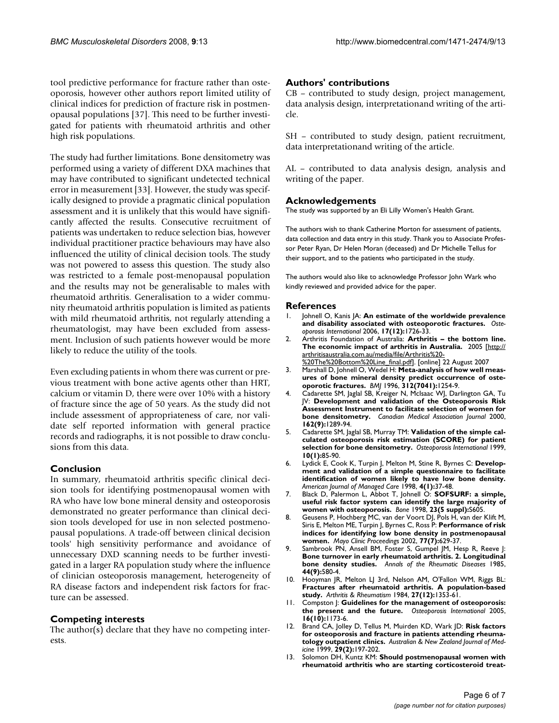tool predictive performance for fracture rather than osteoporosis, however other authors report limited utility of clinical indices for prediction of fracture risk in postmenopausal populations [37]. This need to be further investigated for patients with rheumatoid arthritis and other high risk populations.

The study had further limitations. Bone densitometry was performed using a variety of different DXA machines that may have contributed to significant undetected technical error in measurement [33]. However, the study was specifically designed to provide a pragmatic clinical population assessment and it is unlikely that this would have significantly affected the results. Consecutive recruitment of patients was undertaken to reduce selection bias, however individual practitioner practice behaviours may have also influenced the utility of clinical decision tools. The study was not powered to assess this question. The study also was restricted to a female post-menopausal population and the results may not be generalisable to males with rheumatoid arthritis. Generalisation to a wider community rheumatoid arthritis population is limited as patients with mild rheumatoid arthritis, not regularly attending a rheumatologist, may have been excluded from assessment. Inclusion of such patients however would be more likely to reduce the utility of the tools.

Even excluding patients in whom there was current or previous treatment with bone active agents other than HRT, calcium or vitamin D, there were over 10% with a history of fracture since the age of 50 years. As the study did not include assessment of appropriateness of care, nor validate self reported information with general practice records and radiographs, it is not possible to draw conclusions from this data.

## **Conclusion**

In summary, rheumatoid arthritis specific clinical decision tools for identifying postmenopausal women with RA who have low bone mineral density and osteoporosis demonstrated no greater performance than clinical decision tools developed for use in non selected postmenopausal populations. A trade-off between clinical decision tools' high sensitivity performance and avoidance of unnecessary DXD scanning needs to be further investigated in a larger RA population study where the influence of clinician osteoporosis management, heterogeneity of RA disease factors and independent risk factors for fracture can be assessed.

## **Competing interests**

The author(s) declare that they have no competing interests.

## **Authors' contributions**

CB – contributed to study design, project management, data analysis design, interpretationand writing of the article.

SH – contributed to study design, patient recruitment, data interpretationand writing of the article.

AL – contributed to data analysis design, analysis and writing of the paper.

## **Acknowledgements**

The study was supported by an Eli Lilly Women's Health Grant.

The authors wish to thank Catherine Morton for assessment of patients, data collection and data entry in this study. Thank you to Associate Professor Peter Ryan, Dr Helen Moran (deceased) and Dr Michelle Tellus for their support, and to the patients who participated in the study.

The authors would also like to acknowledge Professor John Wark who kindly reviewed and provided advice for the paper.

#### **References**

- 1. Johnell O, Kanis JA: **[An estimate of the worldwide prevalence](http://www.ncbi.nlm.nih.gov/entrez/query.fcgi?cmd=Retrieve&db=PubMed&dopt=Abstract&list_uids=16983459) [and disability associated with osteoporotic fractures.](http://www.ncbi.nlm.nih.gov/entrez/query.fcgi?cmd=Retrieve&db=PubMed&dopt=Abstract&list_uids=16983459)** *Osteoporosis International* 2006, **17(12):**1726-33.
- 2. Arthritis Foundation of Australia: **Arthritis the bottom line. The economic impact of arthritis in Australia.** 2005 [\[http://](http://arthritisaustralia.com.au/media/file/Arthritis%20-%20The%20Bottom%20Line_final.pdf) [arthritisaustralia.com.au/media/file/Arthritis%20-](http://arthritisaustralia.com.au/media/file/Arthritis%20-%20The%20Bottom%20Line_final.pdf) [%20The%20Bottom%20Line\\_final.pdf](http://arthritisaustralia.com.au/media/file/Arthritis%20-%20The%20Bottom%20Line_final.pdf)]. [online] 22 August 2007
- Marshall D, Johnell O, Wedel H: [Meta-analysis of how well meas](http://www.ncbi.nlm.nih.gov/entrez/query.fcgi?cmd=Retrieve&db=PubMed&dopt=Abstract&list_uids=8634613)**[ures of bone mineral density predict occurrence of oste](http://www.ncbi.nlm.nih.gov/entrez/query.fcgi?cmd=Retrieve&db=PubMed&dopt=Abstract&list_uids=8634613)[oporotic fractures.](http://www.ncbi.nlm.nih.gov/entrez/query.fcgi?cmd=Retrieve&db=PubMed&dopt=Abstract&list_uids=8634613)** *BMJ* 1996, **312(7041):**1254-9.
- 4. Cadarette SM, Jaglal SB, Kreiger N, McIsaac WJ, Darlington GA, Tu JV: **[Development and validation of the Osteoporosis Risk](http://www.ncbi.nlm.nih.gov/entrez/query.fcgi?cmd=Retrieve&db=PubMed&dopt=Abstract&list_uids=10813010) [Assessment Instrument to facilitate selection of women for](http://www.ncbi.nlm.nih.gov/entrez/query.fcgi?cmd=Retrieve&db=PubMed&dopt=Abstract&list_uids=10813010) [bone densitometry.](http://www.ncbi.nlm.nih.gov/entrez/query.fcgi?cmd=Retrieve&db=PubMed&dopt=Abstract&list_uids=10813010)** *Canadian Medical Association Journal* 2000, **162(9):**1289-94.
- 5. Cadarette SM, Jaglal SB, Murray TM: **[Validation of the simple cal](http://www.ncbi.nlm.nih.gov/entrez/query.fcgi?cmd=Retrieve&db=PubMed&dopt=Abstract&list_uids=10501785)[culated osteoporosis risk estimation \(SCORE\) for patient](http://www.ncbi.nlm.nih.gov/entrez/query.fcgi?cmd=Retrieve&db=PubMed&dopt=Abstract&list_uids=10501785) [selection for bone densitometry.](http://www.ncbi.nlm.nih.gov/entrez/query.fcgi?cmd=Retrieve&db=PubMed&dopt=Abstract&list_uids=10501785)** *Osteoporosis International* 1999, **10(1):**85-90.
- 6. Lydick E, Cook K, Turpin J, Melton M, Stine R, Byrnes C: **[Develop](http://www.ncbi.nlm.nih.gov/entrez/query.fcgi?cmd=Retrieve&db=PubMed&dopt=Abstract&list_uids=10179905)[ment and validation of a simple questionnaire to facilitate](http://www.ncbi.nlm.nih.gov/entrez/query.fcgi?cmd=Retrieve&db=PubMed&dopt=Abstract&list_uids=10179905) identification of women likely to have low bone density.** *American Journal of Managed Care* 1998, **4(1):**37-48.
- 7. Black D, Palermon L, Abbot T, Johnell O: **SOFSURF: a simple, useful risk factor system can identify the large majority of women with osteoporosis.** *Bone* 1998, **23(5 suppl):**S605.
- 8. Geusens P, Hochberg MC, van der Voort DJ, Pols H, van der Klift M, Siris E, Melton ME, Turpin J, Byrnes C, Ross P: **[Performance of risk](http://www.ncbi.nlm.nih.gov/entrez/query.fcgi?cmd=Retrieve&db=PubMed&dopt=Abstract&list_uids=12108600) [indices for identifying low bone density in postmenopausal](http://www.ncbi.nlm.nih.gov/entrez/query.fcgi?cmd=Retrieve&db=PubMed&dopt=Abstract&list_uids=12108600) [women.](http://www.ncbi.nlm.nih.gov/entrez/query.fcgi?cmd=Retrieve&db=PubMed&dopt=Abstract&list_uids=12108600)** *Mayo Clinic Proceedings* 2002, **77(7):**629-37.
- Sambrook PN, Ansell BM, Foster S, Gumpel JM, Hesp R, Reeve J: **[Bone turnover in early rheumatoid arthritis. 2. Longitudinal](http://www.ncbi.nlm.nih.gov/entrez/query.fcgi?cmd=Retrieve&db=PubMed&dopt=Abstract&list_uids=3876077) [bone density studies.](http://www.ncbi.nlm.nih.gov/entrez/query.fcgi?cmd=Retrieve&db=PubMed&dopt=Abstract&list_uids=3876077)** *Annals of the Rheumatic Diseases* 1985, **44(9):**580-4.
- 10. Hooyman JR, Melton LJ 3rd, Nelson AM, O'Fallon WM, Riggs BL: **Fractures after rheumatoid arthritis. A population-based study.** *Arthritis & Rheumatism* 1984, **27(12):**1353-61.
- 11. Compston J: **[Guidelines for the management of osteoporosis:](http://www.ncbi.nlm.nih.gov/entrez/query.fcgi?cmd=Retrieve&db=PubMed&dopt=Abstract&list_uids=15983729) [the present and the future.](http://www.ncbi.nlm.nih.gov/entrez/query.fcgi?cmd=Retrieve&db=PubMed&dopt=Abstract&list_uids=15983729)** *Osteoporosis International* 2005, **16(10):**1173-6.
- 12. Brand CA, Jolley D, Tellus M, Muirden KD, Wark JD: **Risk factors for osteoporosis and fracture in patients attending rheumatology outpatient clinics.** *Australian & New Zealand Journal of Medicine* 1999, **29(2):**197-202.
- 13. Solomon DH, Kuntz KM: **Should postmenopausal women with rheumatoid arthritis who are starting corticosteroid treat-**